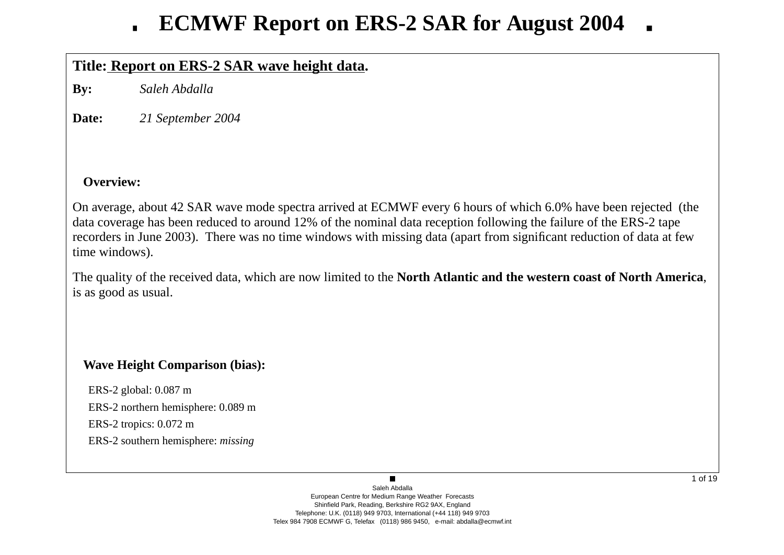## **Title: Report on ERS-2 SAR wa ve height data.**

**By:** *Saleh Abdalla*

**Date:***21 September 2004*

### **Overview:**

On average, about 42 SAR wave mode spectra arrived at ECMWF every 6 hours of which 6.0% have been rejected (the data co verage has been reduced to around 12% of the nominal data reception following the failure of the ERS-2 tape recorders in June 2003). There was no time windows with missing data (apart from significant reduction of data at fe w time windows).

The quality of the recei ved data, which are now limited to the **North Atlantic and the western coast of North America**, is as good as usual.

## **Wave Height Comparison (bias):**

ERS-2 global: 0.087 m ERS-2 northern hemisphere: 0.089 m ERS-2 tropics: 0.072 m ERS-2 southern hemisphere: *missing*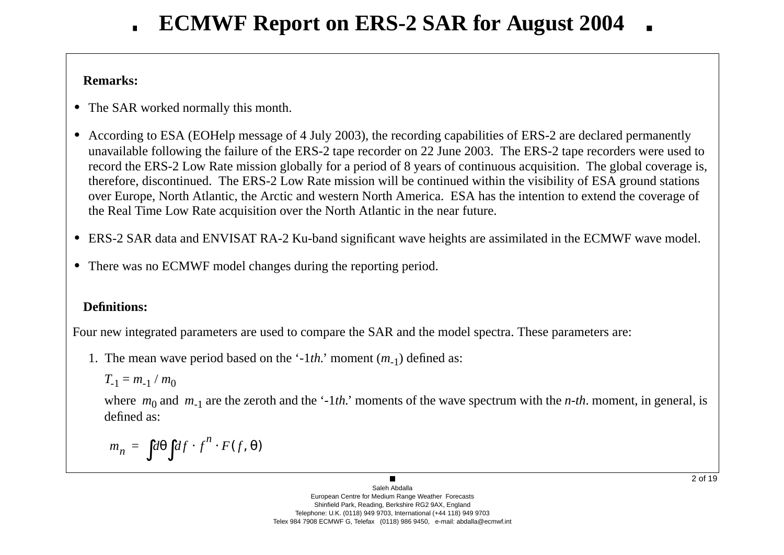### **Remarks:**

- **•** The SAR worked normally this month.
- **•** According to ESA (EOHelp message of 4 July 2003), the recording capabilities of ERS-2 are declared permanently una vailable following the failure of the ERS-2 tape recorder on 22 June 2003. The ERS-2 tape recorders were used to record the ERS-2 Low Rate mission globally for a period of 8 years of continuous acquisition. The global coverage is, therefore, discontinued. The ERS-2 Low Rate mission will be continued within the visibility of ESA ground stations o ver Europe, North Atlantic, the Arctic and western North America. ESA has the intention to extend the co verage of the Real Time Low Rate acquisition o ver the North Atlantic in the near future.
- ERS-2 SAR data and ENVISAT RA-2 Ku-band significant wave heights are assimilated in the ECMWF wave model.
- **•** There was no ECMWF model changes during the reporting period.

## **Definitions:**

Four new integrated parameters are used to compare the SAR and the model spectra. These parameters are:

1. The mean wave period based on the '-1*th*.' moment (*m*<sub>-1</sub>) defined as:

$$
T_{-1}=m_{-1}/m_0
$$

where  $m_0$  and  $m_{-1}$  are the zeroth and the '-1*th*.' moments of the wave spectrum with the *n-th*. moment, in general, is defined as:

$$
m_n = \int d\theta \int df \cdot f^n \cdot F(f, \theta)
$$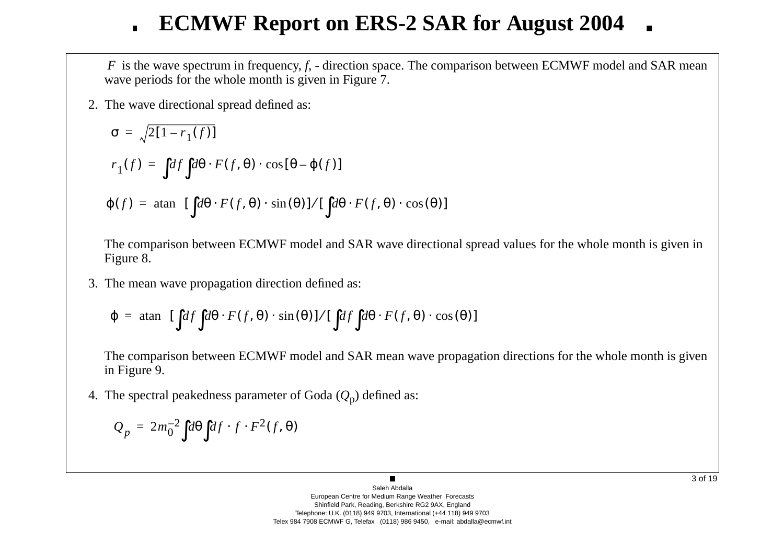*F* is the wave spectrum in frequency, *f*, - direction space. The comparison between ECMWF model and SAR mean wave periods for the whole month is given in Figure 7.

2. The w a ve directional spread defined as:

$$
\sigma = \sqrt{2[1 - r_1(f)]}
$$
  
\n
$$
r_1(f) = \int df \int d\theta \cdot F(f, \theta) \cdot \cos[\theta - \varphi(f)]
$$
  
\n
$$
\varphi(f) = \operatorname{atan} \left\{ [\int d\theta \cdot F(f, \theta) \cdot \sin(\theta)] / [\int d\theta \cdot F(f, \theta) \cdot \cos(\theta)] \right\}
$$

The comparison between ECMWF model and SAR wave directional spread values for the whole month is given in Figure 8.

3. The mean w a ve propagation direction defined as:

$$
\varphi = \text{atan}\left\{ \left[ \int df \int d\theta \cdot F(f, \theta) \cdot \sin(\theta) \right] / \left[ \int df \int d\theta \cdot F(f, \theta) \cdot \cos(\theta) \right] \right\}
$$

The comparison between ECMWF model and SAR mean wave propagation directions for the whole month is given in Figure 9.

4. The spectral peakedness parameter of Goda ( *Q* <sup>p</sup>) defined as:

$$
Q_p = 2m_0^{-2} \int d\theta \int df \cdot f \cdot F^2(f, \theta)
$$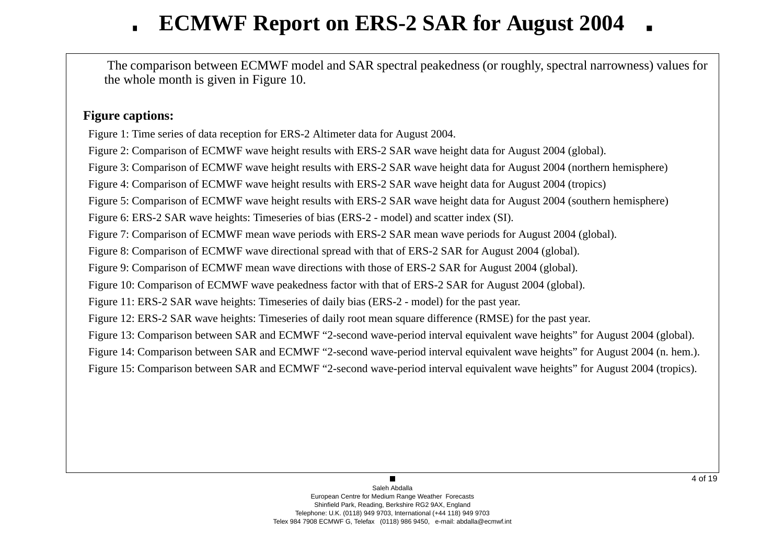The comparison between ECMWF model and SAR spectral peakedness (or roughly, spectral narrowness) values for the whole month is gi ven in Figure 10.

### **Figure captions:**

Figure 1: Time series of data reception for ERS-2 Altimeter data for August 2004.

Figure 2: Comparison of ECMWF wave height results with ERS-2 SAR wave height data for August 2004 (global).

Figure 3: Comparison of ECMWF wave height results with ERS-2 SAR wave height data for August 2004 (northern hemisphere)

Figure 4: Comparison of ECMWF wave height results with ERS-2 SAR wave height data for August 2004 (tropics)

Figure 5: Comparison of ECMWF wave height results with ERS-2 SAR wave height data for August 2004 (southern hemisphere)

Figure 6: ERS-2 SAR wave heights: Timeseries of bias (ERS-2 - model) and scatter index (SI).

Figure 7: Comparison of ECMWF mean wave periods with ERS-2 SAR mean wave periods for August 2004 (global).

Figure 8: Comparison of ECMWF wave directional spread with that of ERS-2 SAR for August 2004 (global).

Figure 9: Comparison of ECMWF mean wave directions with those of ERS-2 SAR for August 2004 (global).

Figure 10: Comparison of ECMWF wave peakedness factor with that of ERS-2 SAR for August 2004 (global).

Figure 11: ERS-2 SAR wave heights: Timeseries of daily bias (ERS-2 - model) for the past year.

Figure 12: ERS-2 SAR wave heights: Timeseries of daily root mean square difference (RMSE) for the past year.

Figure 13: Comparison between SAR and ECMWF "2-second wave-period interval equivalent wave heights" for August 2004 (global).

Figure 14: Comparison between SAR and ECMWF "2-second wave-period interval equivalent wave heights" for August 2004 (n. hem.).

Figure 15: Comparison between SAR and ECMWF "2-second wave-period interval equivalent wave heights" for August 2004 (tropics).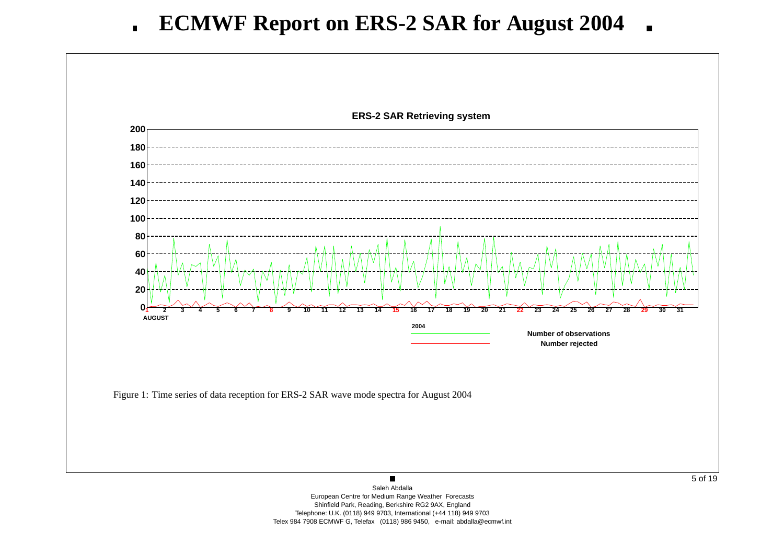

European Centre for Medium Range Weather Forecasts Shinfield Park, Reading, Berkshire RG2 9AX, England Telephone: U.K. (0118) 949 9703, International (+44 118) 949 9703 Telex 984 7908 ECMWF G, Telefax (0118) 986 9450, e-mail: abdalla@ecmwf.int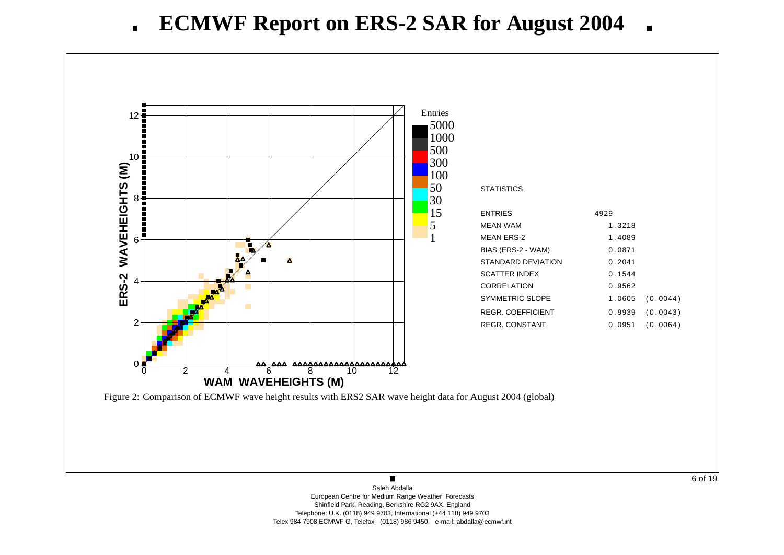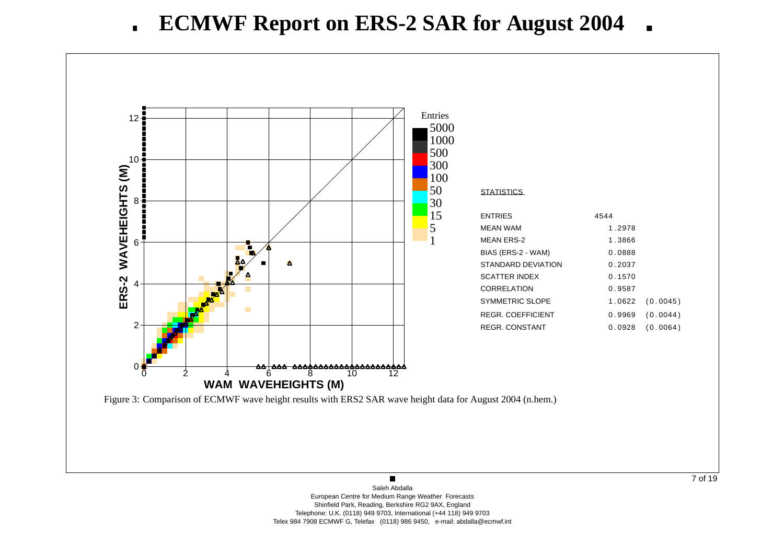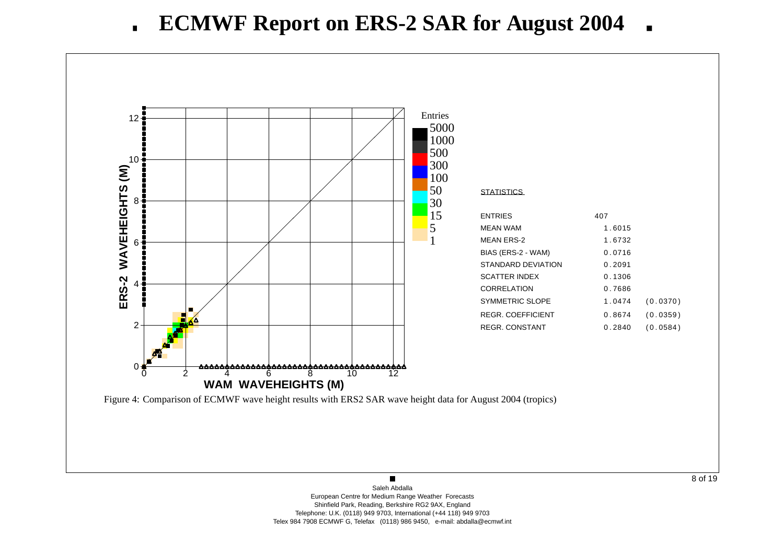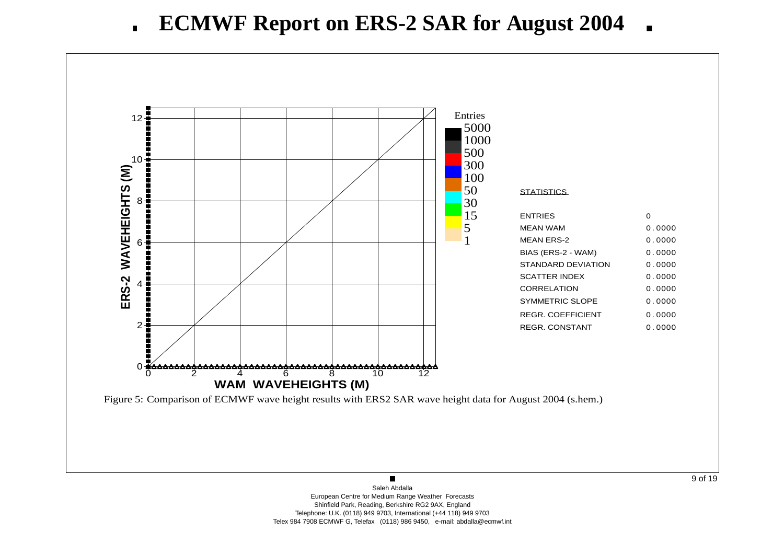#### **ECMWF Report on ERS-2 SAR for August 2004**  $\blacksquare$

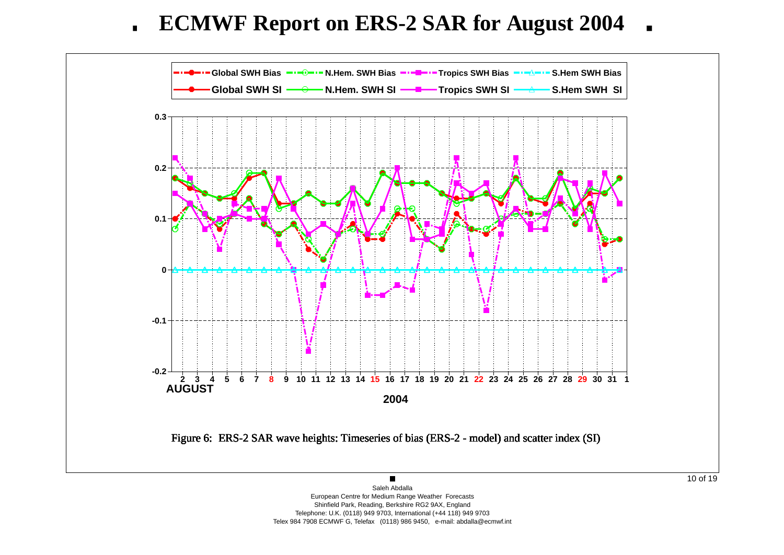**ECMWF Report on ERS-2 SAR for August 2004**  $\blacksquare$ 



Shinfield Park, Reading, Berkshire RG2 9AX, England Telephone: U.K. (0118) 949 9703, International (+44 118) 949 9703 Telex 984 7908 ECMWF G, Telefax (0118) 986 9450, e-mail: abdalla@ecmwf.int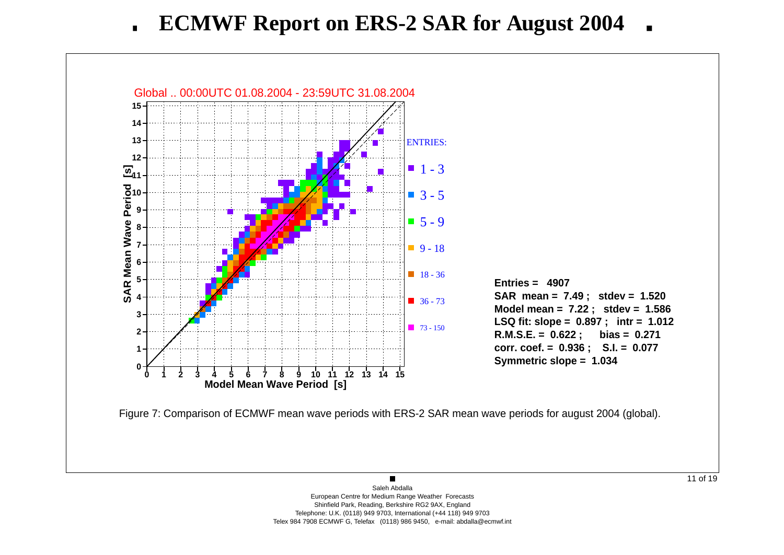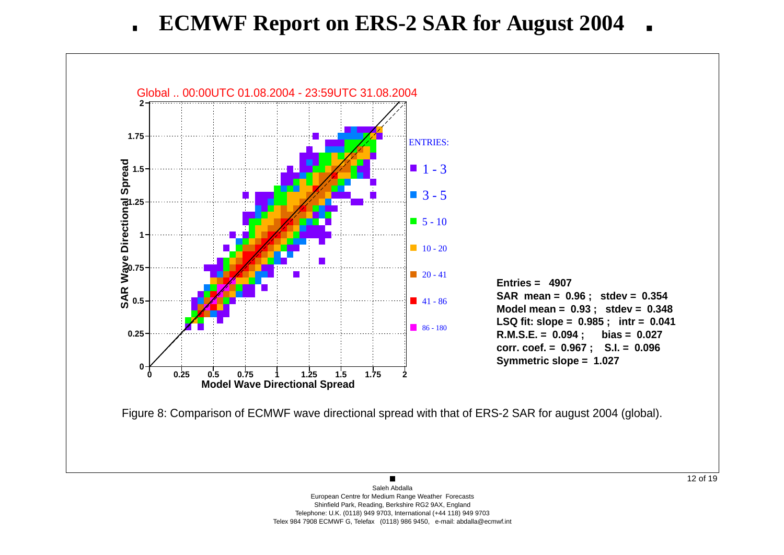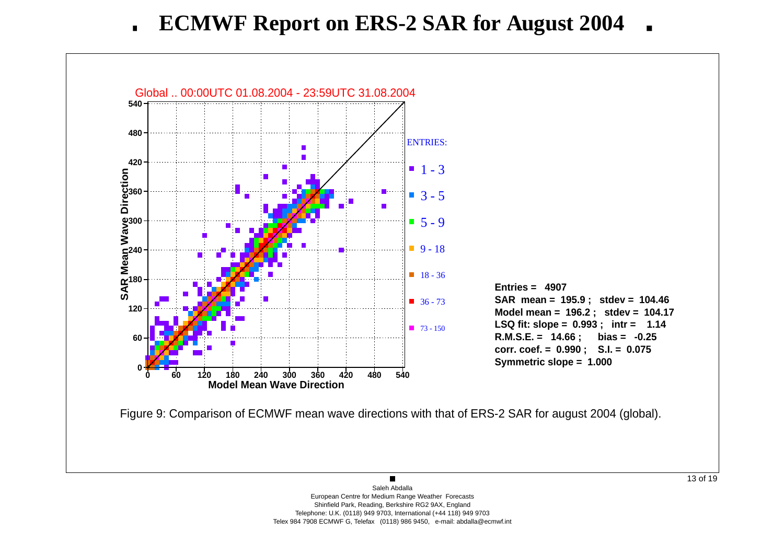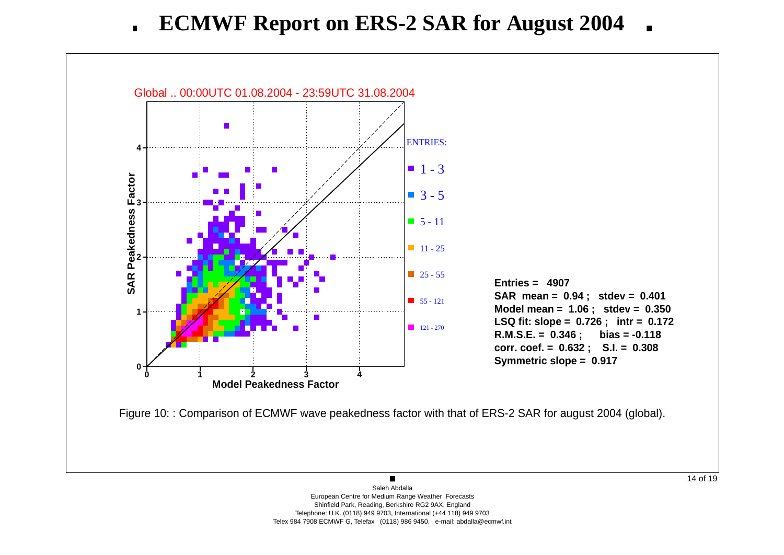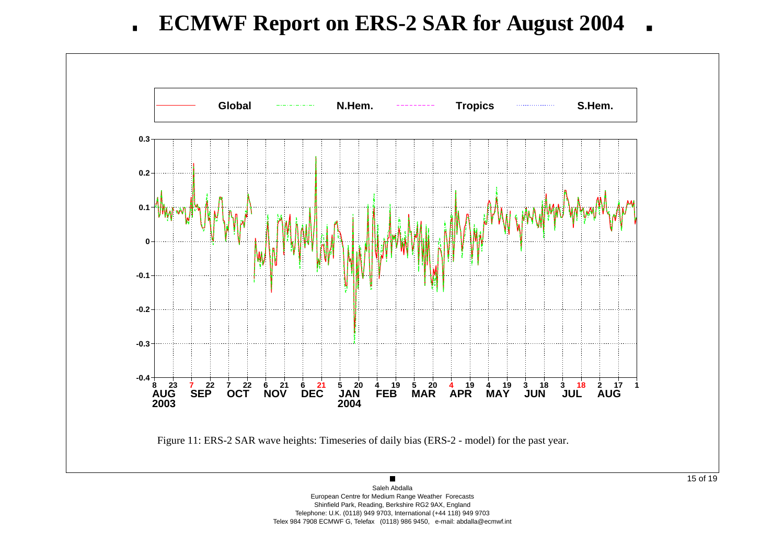**ECMWF Report on ERS-2 SAR for August 2004**  $\blacksquare$ 



European Centre for Medium Range Weather Forecasts Shinfield Park, Reading, Berkshire RG2 9AX, England Telephone: U.K. (0118) 949 9703, International (+44 118) 949 9703 Telex 984 7908 ECMWF G, Telefax (0118) 986 9450, e-mail: abdalla@ecmwf.int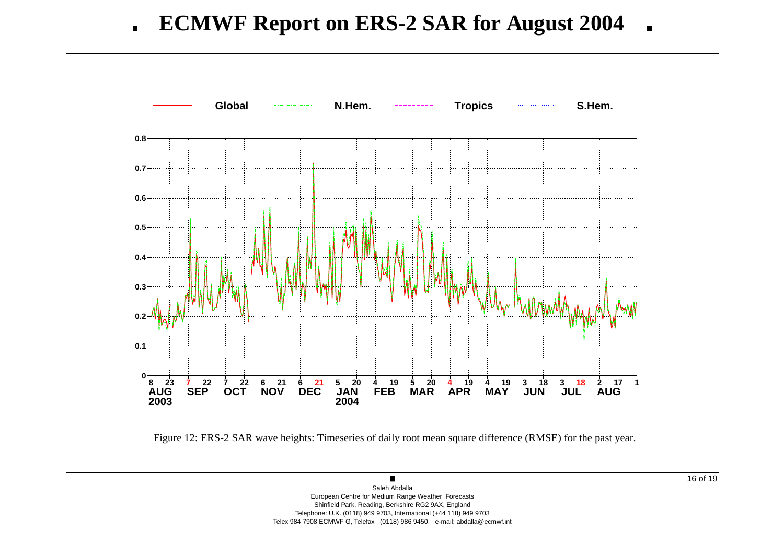**ECMWF Report on ERS-2 SAR for August 2004**  $\blacksquare$ 



Saleh Abdalla European Centre for Medium Range Weather Forecasts Shinfield Park, Reading, Berkshire RG2 9AX, England Telephone: U.K. (0118) 949 9703, International (+44 118) 949 9703 Telex 984 7908 ECMWF G, Telefax (0118) 986 9450, e-mail: abdalla@ecmwf.int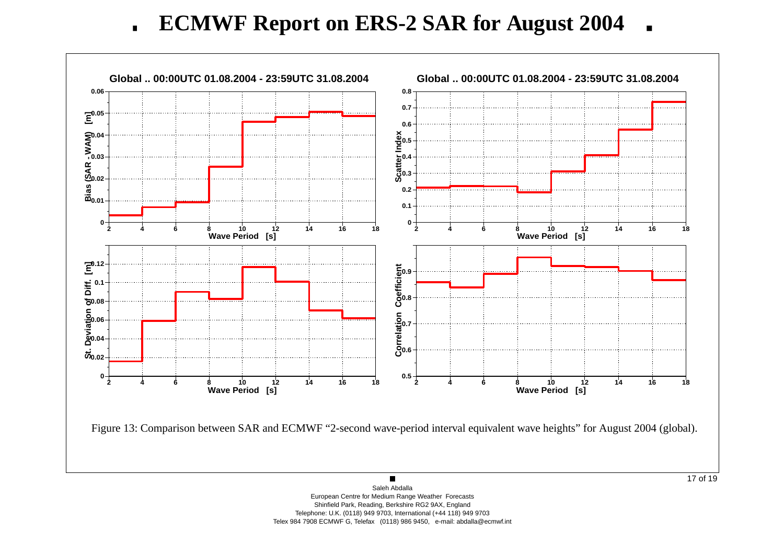**ECMWF Report on ERS-2 SAR for August 2004**  $\mathbf{r}$ 

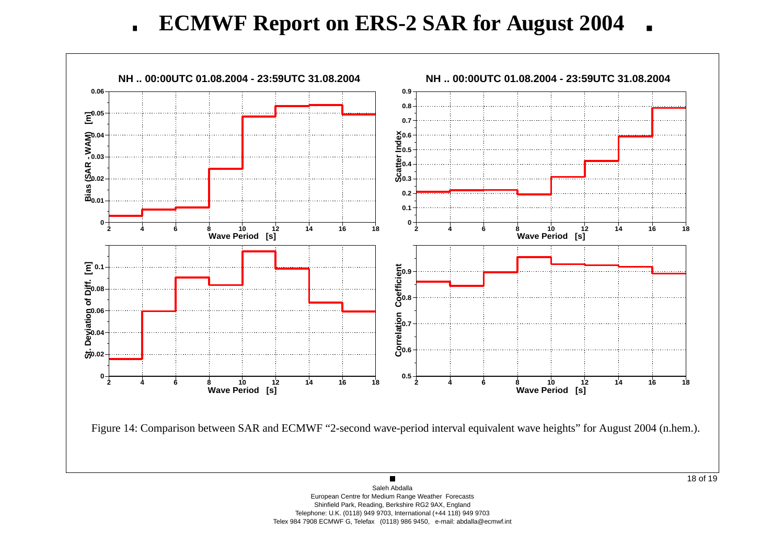**ECMWF Report on ERS-2 SAR for August 2004**  $\mathbf{r}$